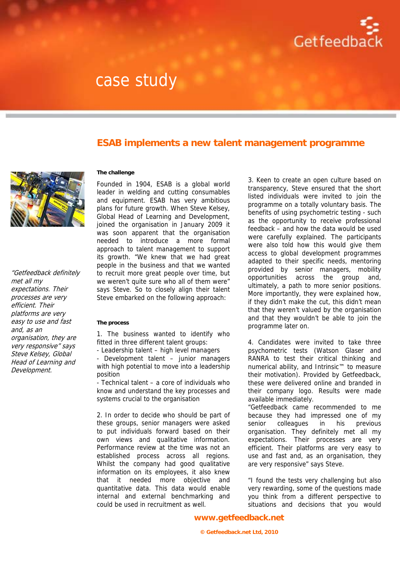

# case study

### **ESAB implements a new talent management programme**



"Getfeedback definitely met all my expectations. Their processes are very efficient. Their platforms are very easy to use and fast and, as an organisation, they are very responsive" says Steve Kelsey, Global Head of Learning and Development.

### **The challenge**

Founded in 1904, ESAB is a global world leader in welding and cutting consumables and equipment. ESAB has very ambitious plans for future growth. When Steve Kelsey, Global Head of Learning and Development, joined the organisation in January 2009 it was soon apparent that the organisation needed to introduce a more formal approach to talent management to support its growth. "We knew that we had great people in the business and that we wanted to recruit more great people over time, but we weren't quite sure who all of them were" says Steve. So to closely align their talent Steve embarked on the following approach:

#### **The process**

1. The business wanted to identify who fitted in three different talent groups:

- Leadership talent – high level managers

Development talent – junior managers with high potential to move into a leadership position

- Technical talent – a core of individuals who know and understand the key processes and systems crucial to the organisation

2. In order to decide who should be part of these groups, senior managers were asked to put individuals forward based on their own views and qualitative information. Performance review at the time was not an established process across all regions. Whilst the company had good qualitative information on its employees, it also knew that it needed more objective and quantitative data. This data would enable internal and external benchmarking and could be used in recruitment as well.

3. Keen to create an open culture based on transparency, Steve ensured that the short listed individuals were invited to join the programme on a totally voluntary basis. The benefits of using psychometric testing - such as the opportunity to receive professional feedback – and how the data would be used were carefully explained. The participants were also told how this would give them access to global development programmes adapted to their specific needs, mentoring provided by senior managers, mobility opportunities across the group and, ultimately, a path to more senior positions. More importantly, they were explained how, if they didn't make the cut, this didn't mean that they weren't valued by the organisation and that they wouldn't be able to join the programme later on.

4. Candidates were invited to take three psychometric tests (Watson Glaser and RANRA to test their critical thinking and numerical ability, and Intrinsic™ to measure their motivation). Provided by Getfeedback, these were delivered online and branded in their company logo. Results were made available immediately.

"Getfeedback came recommended to me because they had impressed one of my senior colleagues in his previous organisation. They definitely met all my expectations. Their processes are very efficient. Their platforms are very easy to use and fast and, as an organisation, they are very responsive" says Steve.

"I found the tests very challenging but also very rewarding, some of the questions made you think from a different perspective to situations and decisions that you would

**www.getfeedback.net**